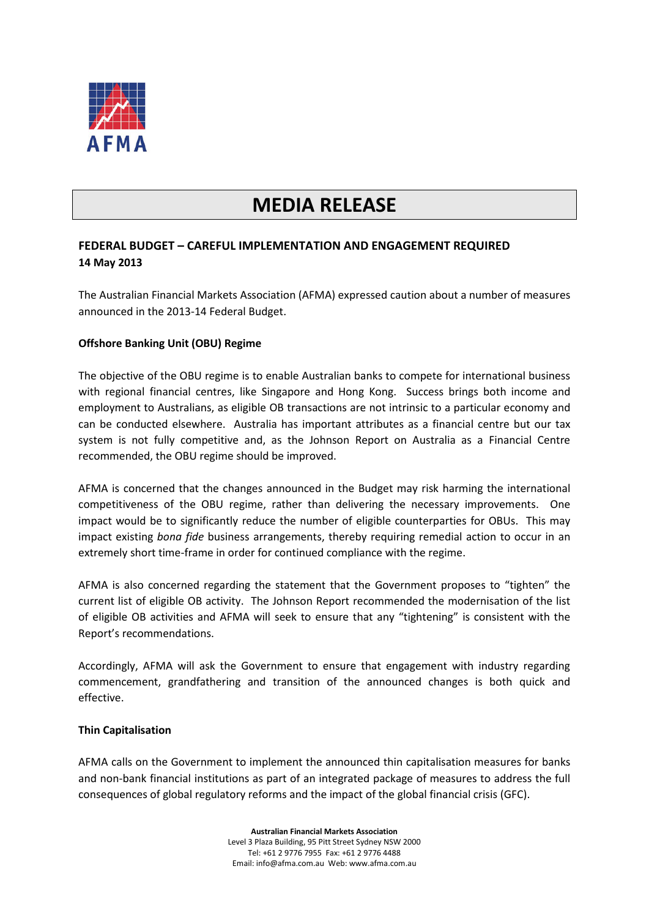

# **MEDIA RELEASE**

## **FEDERAL BUDGET – CAREFUL IMPLEMENTATION AND ENGAGEMENT REQUIRED 14 May 2013**

The Australian Financial Markets Association (AFMA) expressed caution about a number of measures announced in the 2013-14 Federal Budget.

### **Offshore Banking Unit (OBU) Regime**

The objective of the OBU regime is to enable Australian banks to compete for international business with regional financial centres, like Singapore and Hong Kong. Success brings both income and employment to Australians, as eligible OB transactions are not intrinsic to a particular economy and can be conducted elsewhere. Australia has important attributes as a financial centre but our tax system is not fully competitive and, as the Johnson Report on Australia as a Financial Centre recommended, the OBU regime should be improved.

AFMA is concerned that the changes announced in the Budget may risk harming the international competitiveness of the OBU regime, rather than delivering the necessary improvements. One impact would be to significantly reduce the number of eligible counterparties for OBUs. This may impact existing *bona fide* business arrangements, thereby requiring remedial action to occur in an extremely short time-frame in order for continued compliance with the regime.

AFMA is also concerned regarding the statement that the Government proposes to "tighten" the current list of eligible OB activity. The Johnson Report recommended the modernisation of the list of eligible OB activities and AFMA will seek to ensure that any "tightening" is consistent with the Report's recommendations.

Accordingly, AFMA will ask the Government to ensure that engagement with industry regarding commencement, grandfathering and transition of the announced changes is both quick and effective.

#### **Thin Capitalisation**

AFMA calls on the Government to implement the announced thin capitalisation measures for banks and non-bank financial institutions as part of an integrated package of measures to address the full consequences of global regulatory reforms and the impact of the global financial crisis (GFC).